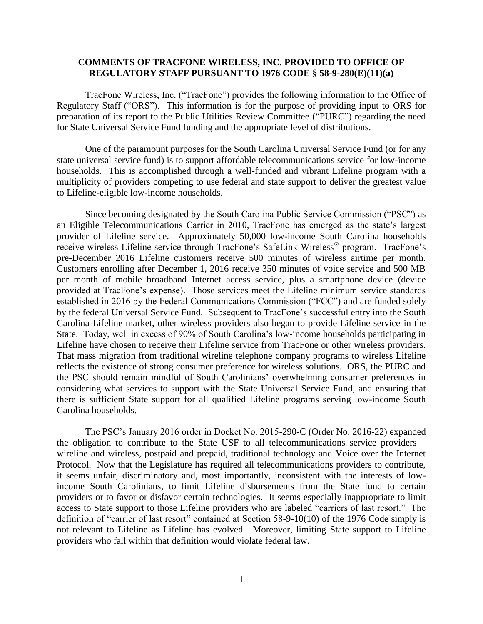## **COMMENTS OF TRACFONE WIRELESS, INC. PROVIDED TO OFFICE OF REGULATORY STAFF PURSUANT TO 1976 CODE § 58-9-280(E)(11)(a)**

TracFone Wireless, Inc. ("TracFone") provides the following information to the Office of Regulatory Staff ("ORS"). This information is for the purpose of providing input to ORS for preparation of its report to the Public Utilities Review Committee ("PURC") regarding the need for State Universal Service Fund funding and the appropriate level of distributions.

One of the paramount purposes for the South Carolina Universal Service Fund (or for any state universal service fund) is to support affordable telecommunications service for low-income households. This is accomplished through a well-funded and vibrant Lifeline program with a multiplicity of providers competing to use federal and state support to deliver the greatest value to Lifeline-eligible low-income households.

Since becoming designated by the South Carolina Public Service Commission ("PSC") as an Eligible Telecommunications Carrier in 2010, TracFone has emerged as the state's largest provider of Lifeline service. Approximately 50,000 low-income South Carolina households receive wireless Lifeline service through TracFone's SafeLink Wireless® program. TracFone's pre-December 2016 Lifeline customers receive 500 minutes of wireless airtime per month. Customers enrolling after December 1, 2016 receive 350 minutes of voice service and 500 MB per month of mobile broadband Internet access service, plus a smartphone device (device provided at TracFone's expense). Those services meet the Lifeline minimum service standards established in 2016 by the Federal Communications Commission ("FCC") and are funded solely by the federal Universal Service Fund. Subsequent to TracFone's successful entry into the South Carolina Lifeline market, other wireless providers also began to provide Lifeline service in the State. Today, well in excess of 90% of South Carolina's low-income households participating in Lifeline have chosen to receive their Lifeline service from TracFone or other wireless providers. That mass migration from traditional wireline telephone company programs to wireless Lifeline reflects the existence of strong consumer preference for wireless solutions. ORS, the PURC and the PSC should remain mindful of South Carolinians' overwhelming consumer preferences in considering what services to support with the State Universal Service Fund, and ensuring that there is sufficient State support for all qualified Lifeline programs serving low-income South Carolina households.

The PSC's January 2016 order in Docket No. 2015-290-C (Order No. 2016-22) expanded the obligation to contribute to the State USF to all telecommunications service providers – wireline and wireless, postpaid and prepaid, traditional technology and Voice over the Internet Protocol. Now that the Legislature has required all telecommunications providers to contribute, it seems unfair, discriminatory and, most importantly, inconsistent with the interests of lowincome South Carolinians, to limit Lifeline disbursements from the State fund to certain providers or to favor or disfavor certain technologies. It seems especially inappropriate to limit access to State support to those Lifeline providers who are labeled "carriers of last resort." The definition of "carrier of last resort" contained at Section 58-9-10(10) of the 1976 Code simply is not relevant to Lifeline as Lifeline has evolved. Moreover, limiting State support to Lifeline providers who fall within that definition would violate federal law.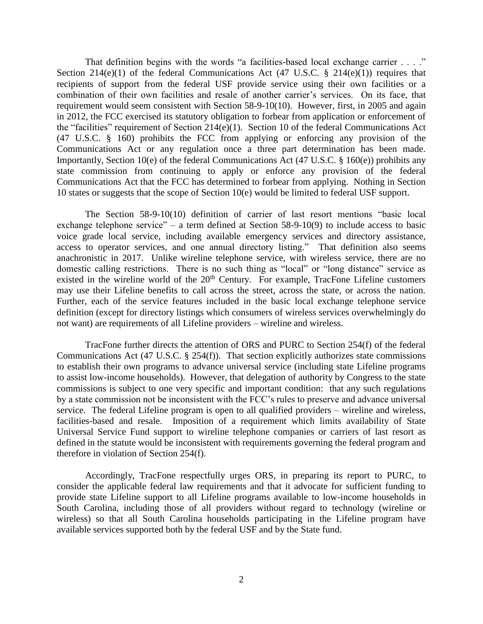That definition begins with the words "a facilities-based local exchange carrier . . . ." Section 214(e)(1) of the federal Communications Act (47 U.S.C.  $\S$  214(e)(1)) requires that recipients of support from the federal USF provide service using their own facilities or a combination of their own facilities and resale of another carrier's services. On its face, that requirement would seem consistent with Section 58-9-10(10). However, first, in 2005 and again in 2012, the FCC exercised its statutory obligation to forbear from application or enforcement of the "facilities" requirement of Section 214(e)(1). Section 10 of the federal Communications Act (47 U.S.C. § 160) prohibits the FCC from applying or enforcing any provision of the Communications Act or any regulation once a three part determination has been made. Importantly, Section 10(e) of the federal Communications Act (47 U.S.C. § 160(e)) prohibits any state commission from continuing to apply or enforce any provision of the federal Communications Act that the FCC has determined to forbear from applying. Nothing in Section 10 states or suggests that the scope of Section 10(e) would be limited to federal USF support.

The Section 58-9-10(10) definition of carrier of last resort mentions "basic local exchange telephone service" – a term defined at Section  $58-9-10(9)$  to include access to basic voice grade local service, including available emergency services and directory assistance, access to operator services, and one annual directory listing." That definition also seems anachronistic in 2017. Unlike wireline telephone service, with wireless service, there are no domestic calling restrictions. There is no such thing as "local" or "long distance" service as existed in the wireline world of the  $20<sup>th</sup>$  Century. For example, TracFone Lifeline customers may use their Lifeline benefits to call across the street, across the state, or across the nation. Further, each of the service features included in the basic local exchange telephone service definition (except for directory listings which consumers of wireless services overwhelmingly do not want) are requirements of all Lifeline providers – wireline and wireless.

TracFone further directs the attention of ORS and PURC to Section 254(f) of the federal Communications Act (47 U.S.C. § 254(f)). That section explicitly authorizes state commissions to establish their own programs to advance universal service (including state Lifeline programs to assist low-income households). However, that delegation of authority by Congress to the state commissions is subject to one very specific and important condition: that any such regulations by a state commission not be inconsistent with the FCC's rules to preserve and advance universal service. The federal Lifeline program is open to all qualified providers – wireline and wireless, facilities-based and resale. Imposition of a requirement which limits availability of State Universal Service Fund support to wireline telephone companies or carriers of last resort as defined in the statute would be inconsistent with requirements governing the federal program and therefore in violation of Section 254(f).

Accordingly, TracFone respectfully urges ORS, in preparing its report to PURC, to consider the applicable federal law requirements and that it advocate for sufficient funding to provide state Lifeline support to all Lifeline programs available to low-income households in South Carolina, including those of all providers without regard to technology (wireline or wireless) so that all South Carolina households participating in the Lifeline program have available services supported both by the federal USF and by the State fund.